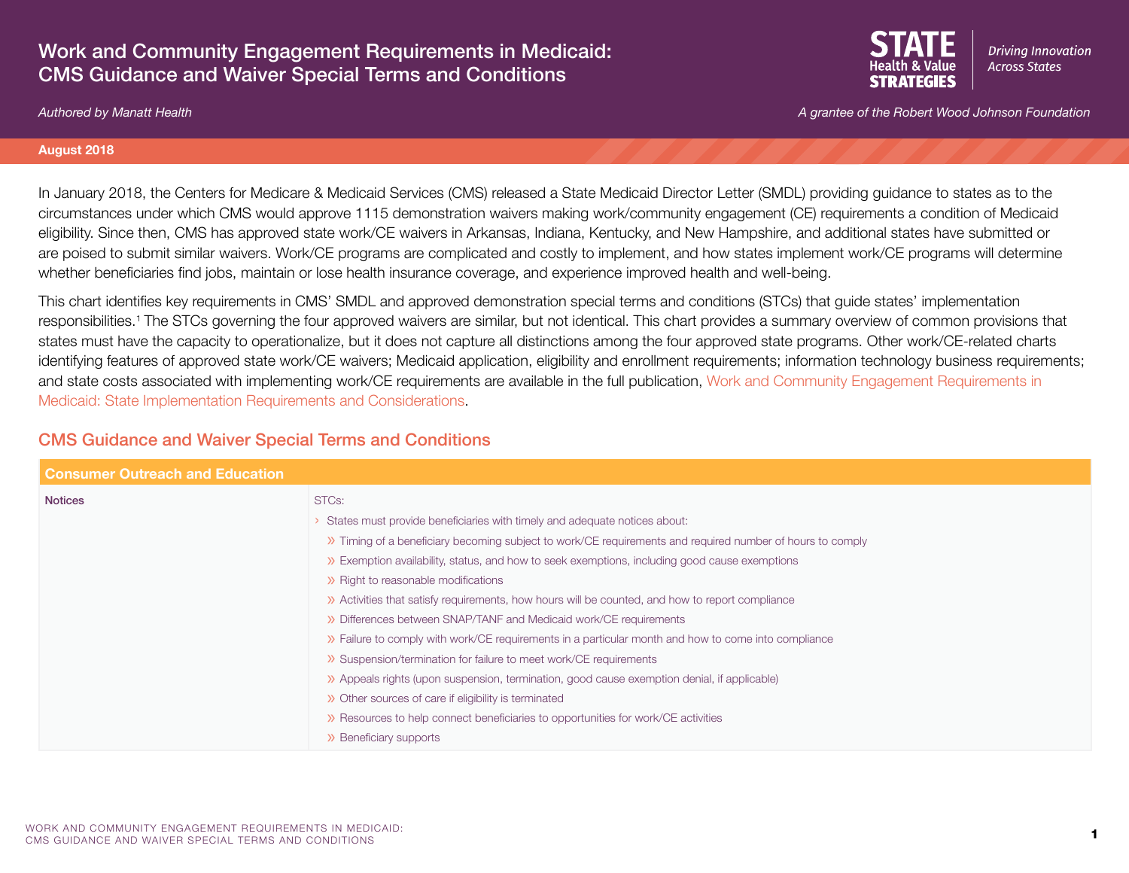## Work and Community Engagement Requirements in Medicaid: CMS Guidance and Waiver Special Terms and Conditions



*Authored by Manatt Health A grantee of the Robert Wood Johnson Foundation*

#### **August 2018**

In January 2018, the Centers for Medicare & Medicaid Services (CMS) released a State Medicaid Director Letter (SMDL) providing guidance to states as to the circumstances under which CMS would approve 1115 demonstration waivers making work/community engagement (CE) requirements a condition of Medicaid eligibility. Since then, CMS has approved state work/CE waivers in Arkansas, Indiana, Kentucky, and New Hampshire, and additional states have submitted or are poised to submit similar waivers. Work/CE programs are complicated and costly to implement, and how states implement work/CE programs will determine whether beneficiaries find jobs, maintain or lose health insurance coverage, and experience improved health and well-being.

This chart identifies key requirements in CMS' SMDL and approved demonstration special terms and conditions (STCs) that guide states' implementation responsibilities.1 The STCs governing the four approved waivers are similar, but not identical. This chart provides a summary overview of common provisions that states must have the capacity to operationalize, but it does not capture all distinctions among the four approved state programs. Other work/CE-related charts identifying features of approved state work/CE waivers; Medicaid application, eligibility and enrollment requirements; information technology business requirements; and state costs associated with implementing work/CE requirements are available in the full publication, [Work and Community Engagement Requirements in](https://www.shvs.org/resource/work-and-community-engagement-requirements-in-medicaid-state-implementation-requirements-and-considerations/)  [Medicaid: State Implementation Requirements and Considerations](https://www.shvs.org/resource/work-and-community-engagement-requirements-in-medicaid-state-implementation-requirements-and-considerations/).

## CMS Guidance and Waiver Special Terms and Conditions

| <b>Consumer Outreach and Education</b> |                                                                                                            |
|----------------------------------------|------------------------------------------------------------------------------------------------------------|
| <b>Notices</b>                         | STC <sub>s</sub> :                                                                                         |
|                                        | States must provide beneficiaries with timely and adequate notices about:                                  |
|                                        | >> Timing of a beneficiary becoming subject to work/CE requirements and required number of hours to comply |
|                                        | >> Exemption availability, status, and how to seek exemptions, including good cause exemptions             |
|                                        | >> Right to reasonable modifications                                                                       |
|                                        | >> Activities that satisfy requirements, how hours will be counted, and how to report compliance           |
|                                        | >> Differences between SNAP/TANF and Medicaid work/CE requirements                                         |
|                                        | >> Failure to comply with work/CE requirements in a particular month and how to come into compliance       |
|                                        | >> Suspension/termination for failure to meet work/CE requirements                                         |
|                                        | >> Appeals rights (upon suspension, termination, good cause exemption denial, if applicable)               |
|                                        | >> Other sources of care if eligibility is terminated                                                      |
|                                        | >> Resources to help connect beneficiaries to opportunities for work/CE activities                         |
|                                        | >> Beneficiary supports                                                                                    |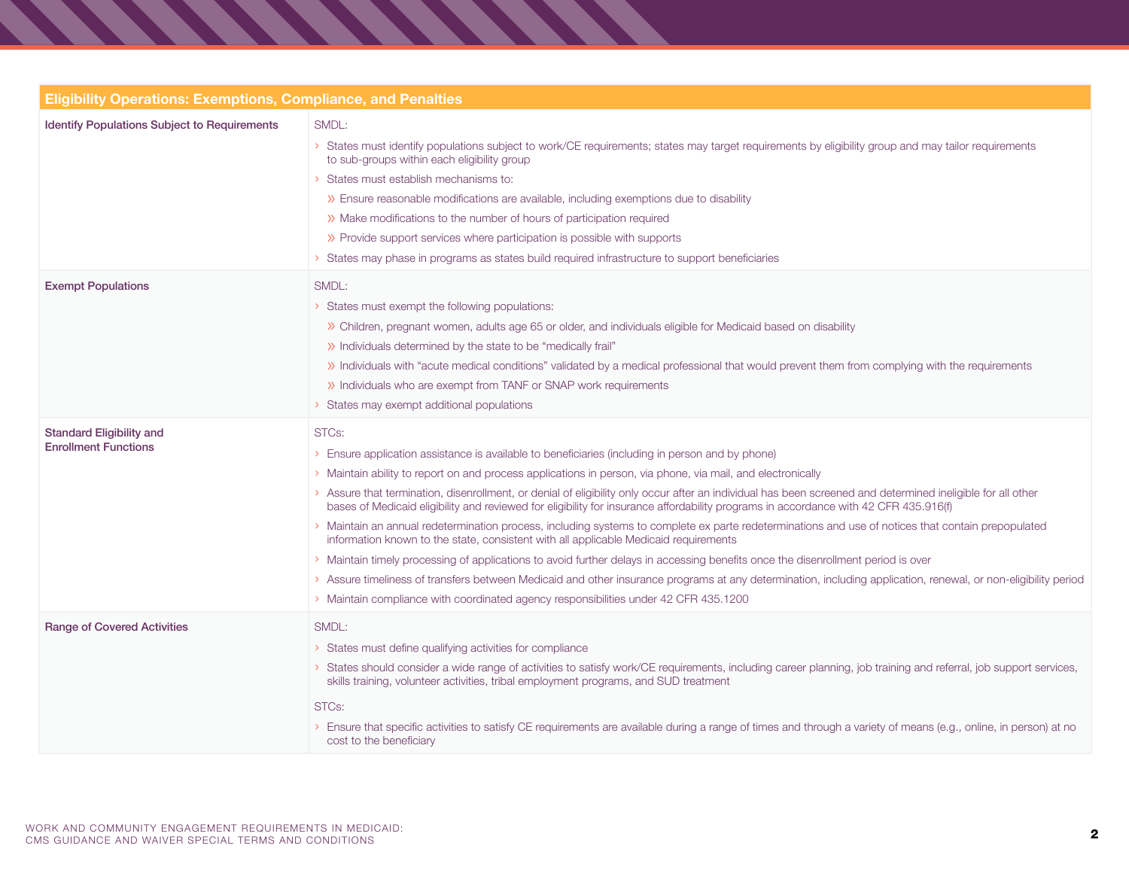| <b>Eligibility Operations: Exemptions, Compliance, and Penalties</b> |                                                                                                                                                                                                                                                                                                                                                                                                                                                                                                                                                                                                                                                                                                                                                                                                                                                                                                                                                                                                                                                                                                                                                                                      |  |
|----------------------------------------------------------------------|--------------------------------------------------------------------------------------------------------------------------------------------------------------------------------------------------------------------------------------------------------------------------------------------------------------------------------------------------------------------------------------------------------------------------------------------------------------------------------------------------------------------------------------------------------------------------------------------------------------------------------------------------------------------------------------------------------------------------------------------------------------------------------------------------------------------------------------------------------------------------------------------------------------------------------------------------------------------------------------------------------------------------------------------------------------------------------------------------------------------------------------------------------------------------------------|--|
| Identify Populations Subject to Requirements                         | SMDL:<br>States must identify populations subject to work/CE requirements; states may target requirements by eligibility group and may tailor requirements<br>to sub-groups within each eligibility group<br>States must establish mechanisms to:<br>>> Ensure reasonable modifications are available, including exemptions due to disability<br>>> Make modifications to the number of hours of participation required<br>>> Provide support services where participation is possible with supports<br>> States may phase in programs as states build required infrastructure to support beneficiaries                                                                                                                                                                                                                                                                                                                                                                                                                                                                                                                                                                              |  |
| <b>Exempt Populations</b>                                            | SMDL:<br>> States must exempt the following populations:<br>>> Children, pregnant women, adults age 65 or older, and individuals eligible for Medicaid based on disability<br>>> Individuals determined by the state to be "medically frail"<br>>> Individuals with "acute medical conditions" validated by a medical professional that would prevent them from complying with the requirements<br>>> Individuals who are exempt from TANF or SNAP work requirements<br>> States may exempt additional populations                                                                                                                                                                                                                                                                                                                                                                                                                                                                                                                                                                                                                                                                   |  |
| <b>Standard Eligibility and</b><br><b>Enrollment Functions</b>       | STC <sub>s</sub> :<br>> Ensure application assistance is available to beneficiaries (including in person and by phone)<br>> Maintain ability to report on and process applications in person, via phone, via mail, and electronically<br>Assure that termination, disenrollment, or denial of eligibility only occur after an individual has been screened and determined ineligible for all other<br>bases of Medicaid eligibility and reviewed for eligibility for insurance affordability programs in accordance with 42 CFR 435.916(f)<br>Maintain an annual redetermination process, including systems to complete ex parte redeterminations and use of notices that contain prepopulated<br>information known to the state, consistent with all applicable Medicaid requirements<br>> Maintain timely processing of applications to avoid further delays in accessing benefits once the disenrollment period is over<br>> Assure timeliness of transfers between Medicaid and other insurance programs at any determination, including application, renewal, or non-eligibility period<br>> Maintain compliance with coordinated agency responsibilities under 42 CFR 435.1200 |  |
| <b>Range of Covered Activities</b>                                   | SMDL:<br>> States must define qualifying activities for compliance<br>> States should consider a wide range of activities to satisfy work/CE requirements, including career planning, job training and referral, job support services,<br>skills training, volunteer activities, tribal employment programs, and SUD treatment<br>STCs:<br>> Ensure that specific activities to satisfy CE requirements are available during a range of times and through a variety of means (e.g., online, in person) at no<br>cost to the beneficiary                                                                                                                                                                                                                                                                                                                                                                                                                                                                                                                                                                                                                                              |  |

, , , , , , , , , ,

**STEP** 

**START START**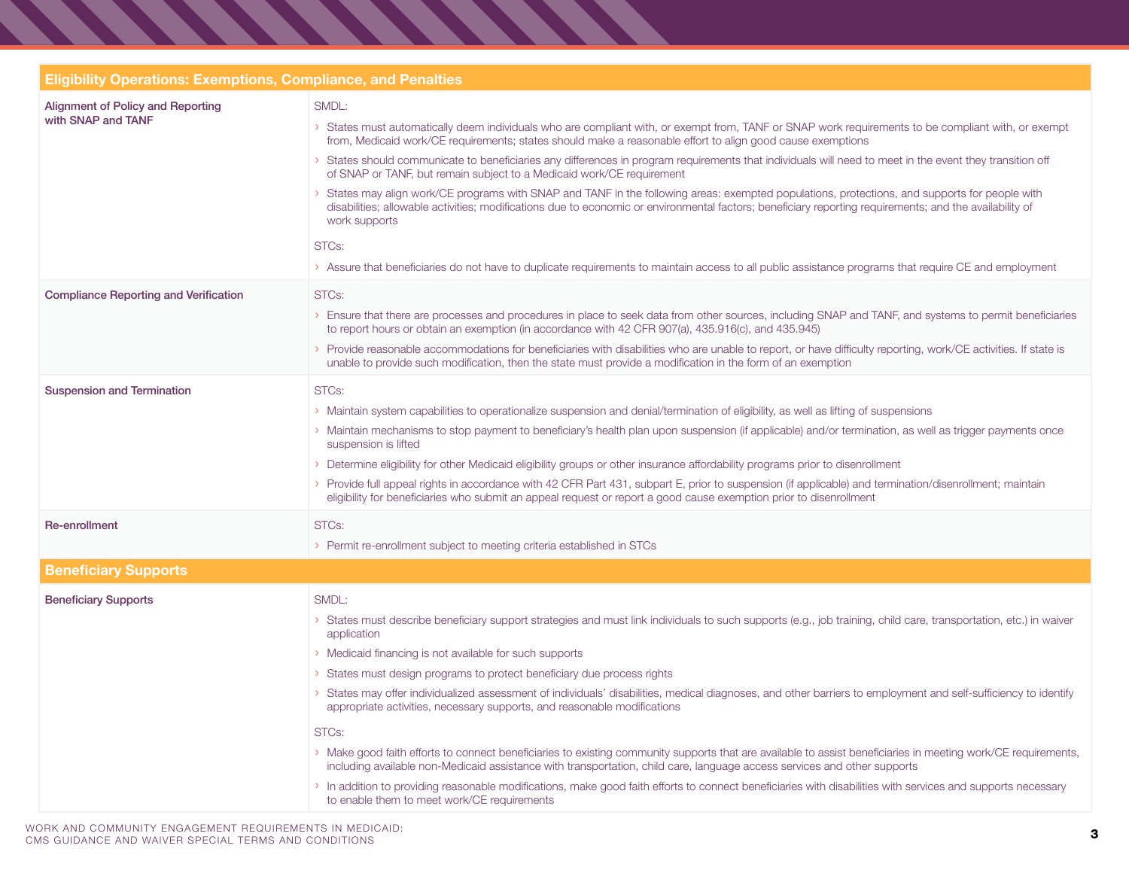|                                                         | <b>Eligibility Operations: Exemptions, Compliance, and Penalties</b>                                                                                                                                                                                                                                                                                                                                                                                                                                                                                                                                                                                                                                                                                                                                                                                                                                                                                                                                                                                                                        |  |  |
|---------------------------------------------------------|---------------------------------------------------------------------------------------------------------------------------------------------------------------------------------------------------------------------------------------------------------------------------------------------------------------------------------------------------------------------------------------------------------------------------------------------------------------------------------------------------------------------------------------------------------------------------------------------------------------------------------------------------------------------------------------------------------------------------------------------------------------------------------------------------------------------------------------------------------------------------------------------------------------------------------------------------------------------------------------------------------------------------------------------------------------------------------------------|--|--|
| Alignment of Policy and Reporting<br>with SNAP and TANF | SMDL:<br>States must automatically deem individuals who are compliant with, or exempt from, TANF or SNAP work requirements to be compliant with, or exempt<br>from, Medicaid work/CE requirements; states should make a reasonable effort to align good cause exemptions<br>States should communicate to beneficiaries any differences in program requirements that individuals will need to meet in the event they transition off<br>of SNAP or TANF, but remain subject to a Medicaid work/CE requirement<br>States may align work/CE programs with SNAP and TANF in the following areas: exempted populations, protections, and supports for people with<br>disabilities; allowable activities; modifications due to economic or environmental factors; beneficiary reporting requirements; and the availability of<br>work supports<br>STCs:<br>> Assure that beneficiaries do not have to duplicate requirements to maintain access to all public assistance programs that require CE and employment                                                                                   |  |  |
| <b>Compliance Reporting and Verification</b>            | STC <sub>s</sub> :<br>> Ensure that there are processes and procedures in place to seek data from other sources, including SNAP and TANF, and systems to permit beneficiaries<br>to report hours or obtain an exemption (in accordance with 42 CFR 907(a), 435.916(c), and 435.945)<br>Provide reasonable accommodations for beneficiaries with disabilities who are unable to report, or have difficulty reporting, work/CE activities. If state is<br>unable to provide such modification, then the state must provide a modification in the form of an exemption                                                                                                                                                                                                                                                                                                                                                                                                                                                                                                                         |  |  |
| <b>Suspension and Termination</b>                       | STCs:<br>> Maintain system capabilities to operationalize suspension and denial/termination of eligibility, as well as lifting of suspensions<br>Maintain mechanisms to stop payment to beneficiary's health plan upon suspension (if applicable) and/or termination, as well as trigger payments once<br>suspension is lifted<br>Determine eligibility for other Medicaid eligibility groups or other insurance affordability programs prior to disenrollment<br>Provide full appeal rights in accordance with 42 CFR Part 431, subpart E, prior to suspension (if applicable) and termination/disenrollment; maintain<br>eligibility for beneficiaries who submit an appeal request or report a good cause exemption prior to disenrollment                                                                                                                                                                                                                                                                                                                                               |  |  |
| Re-enrollment                                           | STCs:<br>> Permit re-enrollment subject to meeting criteria established in STCs                                                                                                                                                                                                                                                                                                                                                                                                                                                                                                                                                                                                                                                                                                                                                                                                                                                                                                                                                                                                             |  |  |
| <b>Beneficiary Supports</b>                             |                                                                                                                                                                                                                                                                                                                                                                                                                                                                                                                                                                                                                                                                                                                                                                                                                                                                                                                                                                                                                                                                                             |  |  |
| <b>Beneficiary Supports</b>                             | SMDL:<br>States must describe beneficiary support strategies and must link individuals to such supports (e.g., job training, child care, transportation, etc.) in waiver<br>application<br>> Medicaid financing is not available for such supports<br>States must design programs to protect beneficiary due process rights<br>States may offer individualized assessment of individuals' disabilities, medical diagnoses, and other barriers to employment and self-sufficiency to identify<br>appropriate activities, necessary supports, and reasonable modifications<br>STCs:<br>> Make good faith efforts to connect beneficiaries to existing community supports that are available to assist beneficiaries in meeting work/CE requirements,<br>including available non-Medicaid assistance with transportation, child care, language access services and other supports<br>In addition to providing reasonable modifications, make good faith efforts to connect beneficiaries with disabilities with services and supports necessary<br>to enable them to meet work/CE requirements |  |  |

,,,,,,,,,,,,,,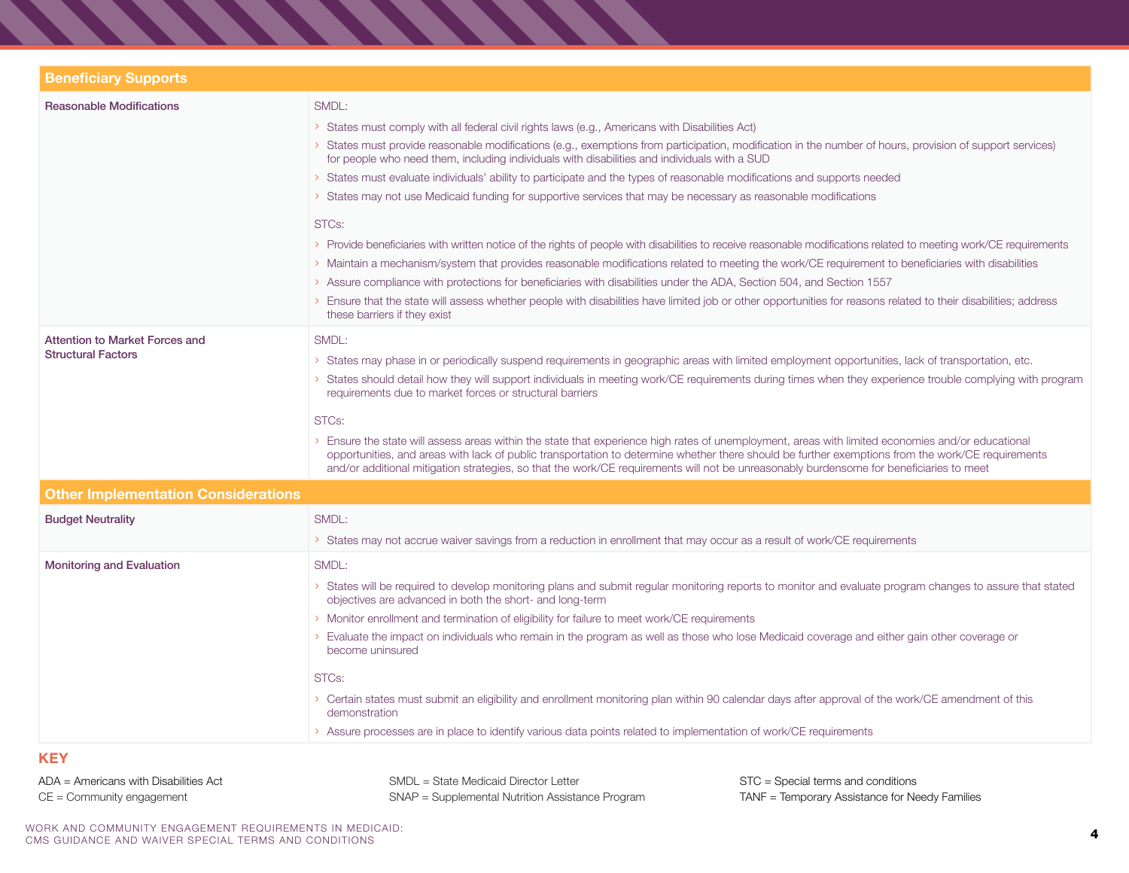| SMDL:<br>> States must comply with all federal civil rights laws (e.g., Americans with Disabilities Act)<br>> States must provide reasonable modifications (e.g., exemptions from participation, modification in the number of hours, provision of support services)<br>for people who need them, including individuals with disabilities and individuals with a SUD<br>> States must evaluate individuals' ability to participate and the types of reasonable modifications and supports needed<br>> States may not use Medicaid funding for supportive services that may be necessary as reasonable modifications<br>STCs:<br>> Provide beneficiaries with written notice of the rights of people with disabilities to receive reasonable modifications related to meeting work/CE requirements<br>> Maintain a mechanism/system that provides reasonable modifications related to meeting the work/CE requirement to beneficiaries with disabilities<br>> Assure compliance with protections for beneficiaries with disabilities under the ADA, Section 504, and Section 1557<br>> Ensure that the state will assess whether people with disabilities have limited job or other opportunities for reasons related to their disabilities; address |
|-----------------------------------------------------------------------------------------------------------------------------------------------------------------------------------------------------------------------------------------------------------------------------------------------------------------------------------------------------------------------------------------------------------------------------------------------------------------------------------------------------------------------------------------------------------------------------------------------------------------------------------------------------------------------------------------------------------------------------------------------------------------------------------------------------------------------------------------------------------------------------------------------------------------------------------------------------------------------------------------------------------------------------------------------------------------------------------------------------------------------------------------------------------------------------------------------------------------------------------------------------|
| these barriers if they exist<br>SMDL:<br>States may phase in or periodically suspend requirements in geographic areas with limited employment opportunities, lack of transportation, etc.<br>States should detail how they will support individuals in meeting work/CE requirements during times when they experience trouble complying with program<br>requirements due to market forces or structural barriers<br>STC <sub>s</sub> :<br>> Ensure the state will assess areas within the state that experience high rates of unemployment, areas with limited economies and/or educational<br>opportunities, and areas with lack of public transportation to determine whether there should be further exemptions from the work/CE requirements<br>and/or additional mitigation strategies, so that the work/CE requirements will not be unreasonably burdensome for beneficiaries to meet                                                                                                                                                                                                                                                                                                                                                         |
| SMDL:<br>> States may not accrue waiver savings from a reduction in enrollment that may occur as a result of work/CE requirements                                                                                                                                                                                                                                                                                                                                                                                                                                                                                                                                                                                                                                                                                                                                                                                                                                                                                                                                                                                                                                                                                                                   |
| SMDL:<br>States will be required to develop monitoring plans and submit regular monitoring reports to monitor and evaluate program changes to assure that stated<br>objectives are advanced in both the short- and long-term<br>> Monitor enrollment and termination of eligibility for failure to meet work/CE requirements<br>Evaluate the impact on individuals who remain in the program as well as those who lose Medicaid coverage and either gain other coverage or<br>become uninsured<br>STC <sub>s</sub> :<br>> Certain states must submit an eligibility and enrollment monitoring plan within 90 calendar days after approval of the work/CE amendment of this<br>demonstration<br>> Assure processes are in place to identify various data points related to implementation of work/CE requirements                                                                                                                                                                                                                                                                                                                                                                                                                                    |
|                                                                                                                                                                                                                                                                                                                                                                                                                                                                                                                                                                                                                                                                                                                                                                                                                                                                                                                                                                                                                                                                                                                                                                                                                                                     |

#### ADA = Americans with Disabilities Act CE = Community engagement

SMDL = State Medicaid Director Letter SNAP = Supplemental Nutrition Assistance Program STC = Special terms and conditions TANF = Temporary Assistance for Needy Families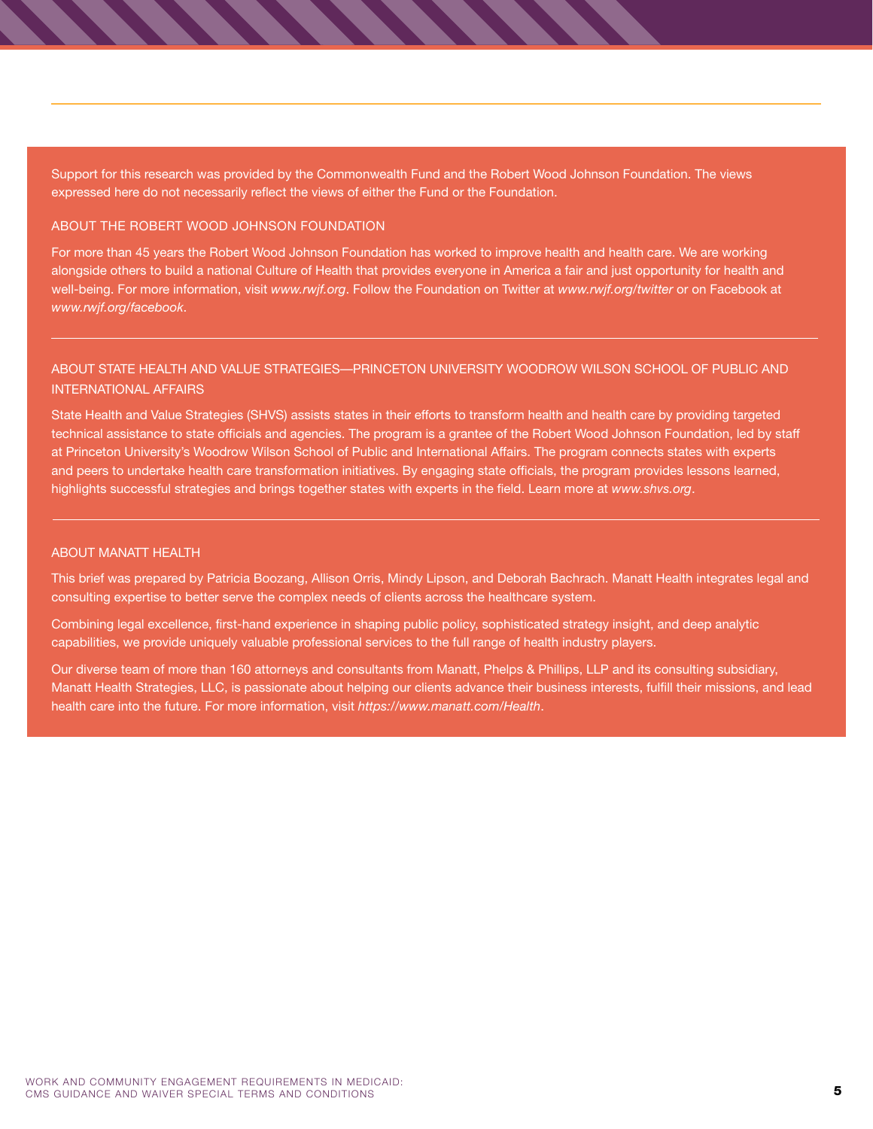Support for this research was provided by the Commonwealth Fund and the Robert Wood Johnson Foundation. The views expressed here do not necessarily reflect the views of either the Fund or the Foundation.

#### ABOUT THE ROBERT WOOD JOHNSON FOUNDATION

For more than 45 years the Robert Wood Johnson Foundation has worked to improve health and health care. We are working alongside others to build a national Culture of Health that provides everyone in America a fair and just opportunity for health and well-being. For more information, visit *[www.rwjf.org](http://www.rwjf.org)*. Follow the Foundation on Twitter at *[www.rwjf.org/twitter](http://www.rwjf.org/twitter)* or on Facebook at *[www.rwjf.org/facebook](http://www.rwjf.org/facebook)*.

### ABOUT STATE HEALTH AND VALUE STRATEGIES—PRINCETON UNIVERSITY WOODROW WILSON SCHOOL OF PUBLIC AND INTERNATIONAL AFFAIRS

State Health and Value Strategies (SHVS) assists states in their efforts to transform health and health care by providing targeted technical assistance to state officials and agencies. The program is a grantee of the Robert Wood Johnson Foundation, led by staff at Princeton University's Woodrow Wilson School of Public and International Affairs. The program connects states with experts and peers to undertake health care transformation initiatives. By engaging state officials, the program provides lessons learned, highlights successful strategies and brings together states with experts in the field. Learn more at *[www.shvs.org](http://www.shvs.org)*.

#### ABOUT MANATT HEALTH

This brief was prepared by Patricia Boozang, Allison Orris, Mindy Lipson, and Deborah Bachrach. Manatt Health integrates legal and consulting expertise to better serve the complex needs of clients across the healthcare system.

Combining legal excellence, first-hand experience in shaping public policy, sophisticated strategy insight, and deep analytic capabilities, we provide uniquely valuable professional services to the full range of health industry players.

Our diverse team of more than 160 attorneys and consultants from Manatt, Phelps & Phillips, LLP and its consulting subsidiary, Manatt Health Strategies, LLC, is passionate about helping our clients advance their business interests, fulfill their missions, and lead health care into the future. For more information, visit *<https://www.manatt.com/Health>*.